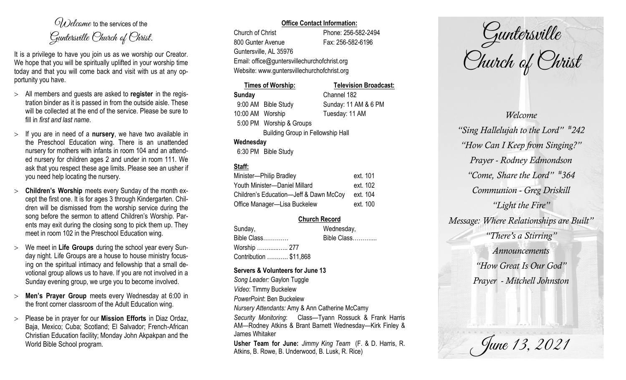$O(\lambda)$  elcame to the services of the Guntersville Church of Christ.

It is a privilege to have you join us as we worship our Creator. We hope that you will be spiritually uplifted in your worship time today and that you will come back and visit with us at any opportunity you have.

- All members and guests are asked to **register** in the registration binder as it is passed in from the outside aisle. These will be collected at the end of the service. Please be sure to fill in *first and last name*.
- $>$  If you are in need of a **nursery**, we have two available in the Preschool Education wing. There is an unattended nursery for mothers with infants in room 104 and an attended nursery for children ages 2 and under in room 111. We ask that you respect these age limits. Please see an usher if you need help locating the nursery.
- **Children's Worship** meets every Sunday of the month except the first one. It is for ages 3 through Kindergarten. Children will be dismissed from the worship service during the song before the sermon to attend Children's Worship. Parents may exit during the closing song to pick them up. They meet in room 102 in the Preschool Education wing.
- We meet in **Life Groups** during the school year every Sunday night. Life Groups are a house to house ministry focusing on the spiritual intimacy and fellowship that a small devotional group allows us to have. If you are not involved in a Sunday evening group, we urge you to become involved.
- **Men's Prayer Group** meets every Wednesday at 6:00 in the front corner classroom of the Adult Education wing.
- Please be in prayer for our **Mission Efforts** in Diaz Ordaz, Baja, Mexico; Cuba; Scotland; El Salvador; French-African Christian Education facility; Monday John Akpakpan and the World Bible School program.

#### **Office Contact Information:**

Church of Christ Phone: 256-582-2494 800 Gunter Avenue Fax: 256-582-6196 Guntersville, AL 35976 Website: www.guntersvillechurchofchrist.org

Email: office@guntersvillechurchofchrist.org

| Times of Worship:                        |                          | <b>Television Broadcast:</b> |  |  |
|------------------------------------------|--------------------------|------------------------------|--|--|
| <b>Sunday</b>                            |                          | Channel 182                  |  |  |
|                                          | 9:00 AM Bible Study      | Sunday: 11 AM & 6 PM         |  |  |
| 10:00 AM Worship                         |                          | Tuesday: 11 AM               |  |  |
|                                          | 5:00 PM Worship & Groups |                              |  |  |
| <b>Building Group in Fellowship Hall</b> |                          |                              |  |  |
| Wednesday                                |                          |                              |  |  |
|                                          | 6:30 PM Bible Study      |                              |  |  |

# **Staff:**

| Minister-Philip Bradley                | ext. 101 |
|----------------------------------------|----------|
| Youth Minister-Daniel Millard          | ext. 102 |
| Children's Education-Jeff & Dawn McCoy | ext. 104 |
| Office Manager-Lisa Buckelew           | ext. 100 |

## **Church Record**

| Sunday,                | Wednesday,  |
|------------------------|-------------|
| Bible Class            | Bible Class |
| Worship  277           |             |
| Contribution  \$11,868 |             |

#### **Servers & Volunteers for June 13**

*Song Leader:* Gaylon Tuggle *Video*: Timmy Buckelew *PowerPoint*: Ben Buckelew *Nursery Attendants:* Amy & Ann Catherine McCamy *Security Monitoring*: Class—Tyann Rossuck & Frank Harris AM—Rodney Atkins & Brant Barnett Wednesday—Kirk Finley & James Whitaker **Usher Team for June:** *Jimmy King Team* (F. & D. Harris, R. Atkins, B. Rowe, B. Underwood, B. Lusk, R. Rice)

Guntersville Church of Christ

*Welcome "Sing Hallelujah to the Lord" # 242 "How Can I Keep from Singing?" Prayer - Rodney Edmondson "Come, Share the Lord" # 364 Communion - Greg Driskill "Light the Fire" Message: Where Relationships are Built" "There's a Stirring" Announcements "How Great Is Our God" Prayer - Mitchell Johnston*

June 13, 2021